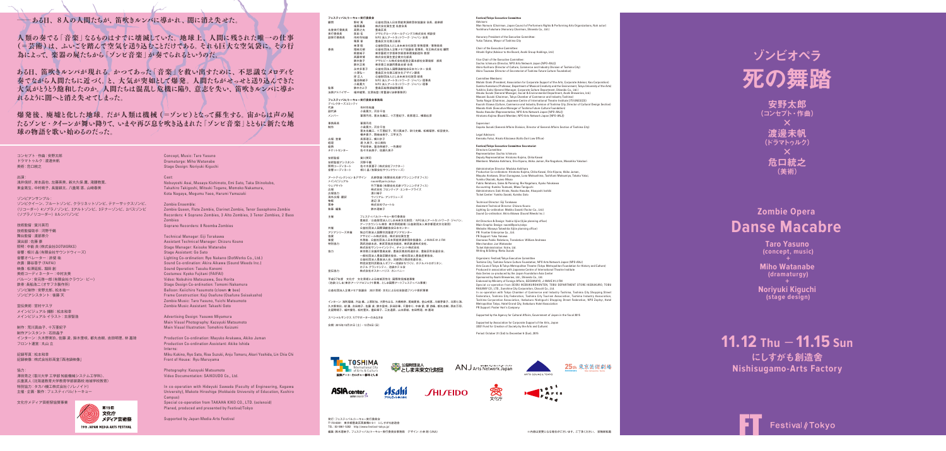#### →ある日、8人の人間たちが、笛吹きルンバに導かれ、闇に消え失せた。

人類の奏でる「音楽」なるものはすでに壊滅していた。地球上、人間に残された唯一の仕事 (=芸術)は、ふいごを踏んで空気を送り込むことだけである。それも巨大な空気袋に、その行 為によって、楽器の屍たちから「ゾンビ音楽」が奏でられるというのだ。

ある日、笛吹きルンバが現れる。かつてあった「音楽」を救い出すために、不思議なメロディを 奉でながら人間たちに近づく。と、大気が突如として爆発。人間たちがせっせと送り込んできた 大気がとうとう飽和したのか。人間たちは混乱し危機に陥り、意志を失い、笛吹きルンバに導か れるように闇へと消え失せてしまった。

爆発後、廃墟と化した地球。だが人類は機械(=ゾンビ)となって蘇生する。宙からは声の屍 たるゾンビ・クイーンが舞い降りて、いまや再び息を吹き込まれた「ゾンビ音楽」とともに新たな地 球の物語を歌い始めるのだった。

コンセプト · 作曲: 安野太郎 **ドラマトゥルク: 渡邊未帆** 美術:危口統之

# ゾンビオペラ

安野太郎 (コンセプト・作曲) **×** 渡邊未帆 (ドラマトゥルク) 危口統之 (美術(

## **Zombie Opera Danse Macabre**

死の舞踏 STORY **フェスティバル/トーキョー実行委員会** 、コ ペパメス<br>野村 高 - 公益社団法人日本芸能実演家団体協議会 会長、能楽師<br>福周義泰 - 株式会社音生堂 名誉会長 福原義春 株式会社資生堂 名誉会長<br>高野之夫 豊鳥区長 ー<br>名誉実行委員長 高野之*夫*<br>実行委員長 荻田 伍<br>副実行委員長 市村作 ー。<br>「荻田 伍 デサヒグループホールディングス株式会社 相談役<br>- 市村作知雄 NPO 法人アートネットワーク・ジャパン 会長 。<br>市村作知雄 NPO 法人アートネットワーク・ジャパン 会長<br>- 栗原 章 - 豊島区文化商工部長 来原 草 章 量島区又化商工部長<br>東澤 昭 公益財団法人としま未来文化財団 常務理事/事務局長 木洋『はいました』 ムニカムルスペンのベルバーの「現会」 アルバス<br>要員 国崎元規 公益社団法人企業メセナ協議会 理事長、花王株式会社 顧問<br>1991年 - 東京都省十半辛本半郎辛本理情創法科 都綱 熊倉純子 東京藝術大学音楽学部音楽環境創造科 教授<br>客藤幸博 株式会社音生堂企業文化部長 株式会社資生堂企業文化部長 斉藤幸博 部長 アサヒビール株式会社経営企画本部社会環境部 鈴木敦子 会長 東京商工会議所豊島支部 鈴木正美 会長 公益社団法人国際演劇協会日本センター 永井多恵子 豊島区文化商工部文化デザイン課長 小澤弘一 部長 公益財団法人としま未来文化財団 正人 岸 連池奈緒子 NPO 法人アートネットワーク・ジャパン 理事長<br>小島寛大 NPO 法人アートネットワーク・ジャパン 理事 - データのバインストリート<br>- 鈴木さよ子 - 豊島区総務部総務課長 法務アドバイザー 福井健策、北澤尚登 (骨董通り法律事務所) **フェフティバル/トーキョー実行承員会事務員** フェスフ 17 .......<br>ディレクターズコミッティ<br>代表 代表 市村作知雄<br>副代表 小島寛大、<br>メンバー 葦原円花、 **小鳥寛大、河合千佳** 小<sub>冊見入、内日「庄</sub><br>|葦原円花、喜友名織江、十万亜紀子、長原理江、横堀応彦 事務局長 - 董原円花<br>制作 - 小島宮大 河会千佳 制作 小島寛大、河合千佳<br>喜友名織江、十万亜紀子、荒川真由子、砂川史織、松嶋瑠奈、松宮俊文、 一<br>横井貴子、岡崎由実子、三竿文乃 横川京子、長原理江 営業・広報 谷口美和、久美子 堤 経理 総務 - 平田幸来、連池奈緒子、一色壽好<br>チケットセンター 佐々木由美子、佐藤久美子 寅川英司 技術監督 河野千鶴 技術監督アシスタント (株式会社ファクター(佐々木真喜子 照明コーディネート 相川 品 (有限会社サウンドウィーズ) アートディレクション &デザイン 氏家啓雄 (有限会社氏家プランニングオフィス)<br>メインビジュアル naomi@paris,tokyo メインビジュアル naomi@paris,tokyo<br>ウェブサイト 竹下雅哉(有限会社氏家プランニングオフィス) - フェンタープライズ - ロールは、11回転会社 スターブライズ<br>株式会社 フロンティア・エンタープライズ<br>広報協力 - 湯川裕子 ート<br>広報協力<br>海外広報 - 翻訳 ー<br>ウィリアム・アンドリューズ 淳 渡辺 物販 株式会社ヴォートル 票券 **鈴木理映子** 主催 フェスティバル/トーキョー実行委員会 、ジャパン・NPO法人アートネットワーク /公益財団法人としま未来文化財団/豊島区 アーツカウンシル東京·東京芸術劇場 (公益財団法人東京都歴史文化財団) 公益社団法人国際演劇協会日本センター 共催 アジアシリーズ共催 独立行政法人国際交流基金アジアセンター<br>協賛 アサヒビール株式会社、株式会社資生堂 ・シング・シングは アサヒビール株式会社、株式会社資生堂<br>1協賛 - アサヒビール株式会社、株式会社資生堂<br>後援 - 外務省、公益社団法人日本芸能実演家団4 FM 81.3 WAVE-J、公益社団法人日本芸能実演家団体協議会、外務省 後援 、<br>- 西武池袋本店、東武百貨店池袋店、東武鉄道株式会社、 キャント・ホーム、ホームのサーバー 、<br>、ウラウスの高さのデジタンのデジタンのデジタンの高さ街連合会、豊島区町会連合会<br>、東京商工会議所豊島支部、豊島区商店街連合会、豊島区町会連合会 米水岡工云磯川豆両又叩、豆両区間店開運日云、豆両区町z<br>一般社団法人豊島区観光協会、一般社団法人豊島産業協会、 - 永江山法人豊島高島大島城人島 - 永江山法人豊島法<br>- 公益社団法人豊島法人会 - 池袋西口商庄街連会会 <u>、共通社出版人並</u>出版人会、1998年1月1日法国会社、<br>特定非営利活動法人ゼファー池袋まちづくり、 ホテルメトロポリタン 池袋ホテル会、グランドシティ ホテル 宮伝協力 精武会社ポスターハリス カンパニー 平成27年度 文化庁 文化芸術による地域活性化・国際発信推進事業<br>(池袋/としま/東京アーツプロジェクト事業、としま国際アートフェスティバル事業) 公益社団法人企業メセナ協議会 2021 芸術·文化による社会創造ファンド採択事業 インターン:浅利瑠璃、穴迫 楓、上原彩加、大野ちはる、大橋桃奈、尾崎夏美、金山咲恵、川縁芽偉子、北原七海、

久木野実玖、胡 瀾、合田桃子、佐藤 凌、鈴木里咲、多田彩華、千葉ゆり、中條 愛、鄧 詩瑤、都丸否樹、西本万耶、<br>比留間晴子、細井優花、松村亜矢、儘田章子、三友遥菜、山本菜絵、吉田明理、林 嘉琦

Tペシャルサンク7:F/Tサポーターのみたさま

 $\Leftrightarrow$ 期: 2015年10月31日(十) - 12月6日(日)

**Festival/Tokyo Executive Committee** 

Advisors:<br>Man Nomura (Chairman, Japan Council of Performers Rights & Performing Arts Organizations, Noh actor (.Ltd .,Co Shiseido ,Chairman Honorary (Fukuhara Yoshiharu

Honorary President of the Executive Committee<br>Yukio Takano, Mayor of Toshima City

.<br>Chair of the Executive Committee (Columbus Croup Committee).<br>(.Ltd ,Holdings Advisor to the Board Asahi Group Holdings Ltd

Vice Chair of the Executive Committee:<br>Sachio Ichimura (Director, NPO Arts Network Japan [NPO-ANJ]] Akira Kurihara (Director of Culture, Commerce and Industry Division of Toshima City)<br>Akira Touzawa (Director of Secretariat of Toshima Future Culture Foundation)

.<br>Committee Members Committee members.<br>Motoki Ozaki (President, Association for Corporate Support of the Arts, Corporate Advisor, Kao Corporation Sumiko Kumakura (Professor, Department of Musical Creativity and the Environment, Tokyo University of the Arts) Unimity (California) (1996566, Separtment of Manager General Manager General Manager, Corporate Culture Department, Shiseido Co., Ltd.) Atsuko Suzuki (General Manager, Social & Environmental Department, Asahi Breweries, Ltd.) Masami Suzuki (Chairman, Tokyo Chamber of Commerce and Industry Toshima)<br>Taeko Nagai (Chairman, Japanese Centre of International Theatre Institute [ITI/UNESCO]] (Commerce) (Section Designment of Director and Director and Commerce , Commerce , Commerce , Commerce ,Commerce and Industry Division of Toshima City, Director of Cultural Design Section) Masato Kishi (Executive Manager of Toshima Future Culture Founda Naoko Hasuike (Representative, NPO Arts Network Japan [NPO-ANJ])<br>Hirotomo Kojima (Board Member, NPO Arts Network Japan [NPO-ANJ])

Supervisor:<br>Sayoko Suzuki (General Affairs Division, Director of General Affairs Section of Toshima City

Legal Advisors:<br>Kensaku Fukui, Hisato Kitazawa (Kotto Dori Law Office)

**Secretariat Committee Executive Tokyo/Festival** Directors Committee Representative: Sachio Ichimura Kapitaanina valittus toimmata.<br>Deputy Representative: Hirotomo Kojima. Chika Kawai. Yokobori Masahiko masama magama yang menandiriko .<br>Members: Madoka Ashihara Orie Kiyuna Akiko Juman Bie Nagahara Masahiko Yokobor

Administrative Director: Madoka Ashihara Production Co-ordinators: Hirotomo Kojima, Chika Kawai, Orie Kiyuna, Akiko Juman,<br>Mayuko Arakawa, Shiori Sunagawa, Luna Matsushima, Toshifumi Matsumiya, Takako Yokoi, Wisang Arakatia, Omori Banay Yokokawa Kyokokawa Kyokokawa Public Rie Nagahara, Kyoko Yokokawa Taniguchi Military and Taniguchi Miwa Taniguchi Issuances Catalum Constant, Administrators: Saki Hirata, Naoko Hasuike, Hisayoshi Isshiki Ticket Center: Yumiko Sasaki, Kumiko Sato

Technical Director: Eiji Torakawa Kommodi Biroctor: Eiji Terdadus - Assistant Technical Director: Chizuru Koung Lighting Co-ordination: Makiko Sasaki (Factor Co., Ltd.)<br>Sound Co-ordination: Akira Aikawa (Sound Weeds Inc.

Art Direction & Design: Yoshio Uiiie (Uiiie planning office Main Graphic Design: naomi@paris,tokyo<br>Website: Masaya Takeshita (Ujiie planning office) PR: Frontier Enterprise Co., Ltd. PR Support: Yuko Yukawa Overseas Public Belations, Translation: William Andrew water of the contractory.<br>Merchandise: Jun Watanabe Ticket Administration: Votre, Ltd. Writing & Editing: Rieko Suzuki

Organizers: Festival/Tokyo Executive Committee Toshima City, Toshima Future Culture Foundation, NPO Arts Network Japan (NPO-ANJ)<br>Arts Council Tokyo & Tokyo Metropolitan Theatre (Tokyo Metropolitan Foundation for History and Culture) Produced in association with Japanese Centre of International Theatre Institute<br>Asia Series co-produced by the Japan Foundation Asia Center Sponsored by Asahi Breweries, Ltd., Shiseido Co., Ltd. Endorsed by Ministry of Foreign Affairs, GEIDANKYO, J-WAVE 81.3 FM <sub>tobuotog by military of follogic andrew scholarity, o wave 0.15 fm<br>Special co-operation-from SEIBU IKEBUKUROHONTEN (TOBU DEPARTMENT STORE IKEBUKURO, TOBU</sub> Special co-operation from SENDO increditorion Chacott Co., Ltd. Street Shopping City Toshima ,Toshima Industry and Commerce of Chamber Tokyo with operation-co In ni co-operation with Tokyo Chamber of Commerce and Industry Toshima, Toshima City Shopping Street<br>Federation, Toshima City Federation, Toshima City Tourism Association, Toshima Industry Association, Toshima Corporation Association, Ikebukuro Nishiguchi Shopping Street Federation, NPO Zephyr, Hotel<br>Metropolitan Tokyo, Hotel Grand City, Ikebukuro Hotel Association PR Support: Poster Hari's Company

Supported by the Agency for Cultural Affairs. Government of Japan in the fiscal 2015

Supported by Acconiation for Corporate Support of the Arts Japan (2021 Fund for Creation of Society by the Arts and Culture)

Period: October 31 (Sat) to December 6 (Sun), 2015

ANJ Arts Network Japan

 $\bigotimes$ 

**VILF** 











25th 東京芸術劇場

発行:フェスティバル/トーキョー実行委員会 -<br>テ170-0001 東京都豊島区西巣鴨4-9-1 にしすがも創造舎  $TEL: 03-5961-5202$  http://www.festival-tokyo.jp/ 経焦1後大理映子 フェスティバル/トーキョー実行委員会事務局 デザイン 小林 剛 (IINA) システム ジェント アンディアング こうしゅう あいあい あいあい あいあい アマネイださい 禁無断転載

**Yasuno Taro** (concept, music)

**Kiguchi Noriyuki (stage design)** 

### **11.12** Thu - 11.15 Sun にしすがも創造舍 **Nishisugamo-Arts Factory**



:出演 浅井信好、岸太昌也、左藤英美、新大久保 鷹、滝腰教育、 東金晃生、中村桃子、長屋耕太、八重尾 恵、山崎春美

:ゾンビアンサンブル ゾンビクイーン、フルートゾンビ、クラリネットゾンビ、テナーサックスゾンビ、 〈リコーダー〉 4ソプラノゾンビ、3アルトゾンビ、3テナーゾンビ、2バスゾンビ <>>  $\langle$ ソプラノリコーダー〉8ルンバゾンビ

技術監督: 電川英司 技術監督助手:河野千鶴 舞台監督: 渡部景介 演出部:佐藤豪 照明: 中能 良 (株式会社DOTWORKS) 音響: 相川 晶 (有限会社サウンドウィーズ) 音響オペレーター:許斐祐 衣裳:藤谷香子(FAIFAI) 映像:松澤延拓、堀田創 美術コーディネーター:中村友美 バルーン: 安元啓一郎 (有限会社クラウン・ビー) 鉄骨・長船浩二 (オサフネ製作所) ゾンビ制作:安野太郎、松本祐一 ゾンビアシスタント:後藤天

宣伝美術: 宮村ヤスヲ メインビジュアル 撮影: 松木和幸 メインビジュアル イラスト:古泉智浩

制作:荒川真由子、十万亜紀子 制作アシスタント:石田県子 インターン:久木野実玖、佐藤 凌、鈴木里咲、都丸杏樹、吉田明理、林 嘉琦 フロント運営:丸山立

記録写真: 松本和幸 **記録映像:株式会社彩高堂「西池袋映像」** 

:協力 澤田秀之 (香川大学 工学部 知能機械システム工学科) 広重真人 (北海道教育大学教育学部釧路校 地域学校教育) (ソレノイド(タカハ機工株式会社:特別協力 主催·企画·製作:フェスティバル/トーキョー

:Cast Nobuyoshi Asai, Masaya Kishimoto, Emi Sato, Taka Shinokubo, Takahiro Takigoshi, Mitsuki Togane, Momoko Nakamura. Kota Nagaya, Megumu Yaeo, Harumi Yamazaki

Zombie Ensemble Zombie Queen, Flute Zombie, Clarinet Zombie, Tenor Saxophone Zombie Becorders: 4 Soprano Zombies, 3 Alto Zombies, 3 Tenor Zombies, 2 Bass Zombies Sonrano Recorders: 8 Boomba Zombies

Technical Manager: Fiji Torakawa Assistant Technical Manager: Chizuru Kouno Stage Manager: Keisuke Watanabe Stage Assistant: Go Sato Lighting Co-ordination: Ryo Nakano (DotWorks Co., Ltd.) Sound Co-ordination: Akira Aikawa (Sound Weeds Inc.) Sound Operation: Tasuku Konomi Costumes: Kyoko Fujitani (FAIFAI) Video: Nobuhiro Matsuzawa, Sou Horita Stage Design Co-ordination: Tomomi Nakamura Balloon: Keiichiro Yasumoto (clown ★ bee) Frame Construction: Koji Osafune (Osafune Seisakusho) Zombie Music: Taro Yasuno, Yuichi Matsumoto Zombie Music Assistant: Takashi Goto

Advertising Design: Yasuwo Miyamura Main Visual Photography: Kazuyuki Matsumoto Main Visual Illustration: Tomohiro Koizumi

Production Co-ordination: Mayuko Arakawa, Akiko Juman Production Co-ordination Assistant: Akiko Ishida :Interns Miku Kukino, Ryo Sato, Risa Suzuki, Anju Tomaru, Akari Yoshida, Lin Chia Chi Front of House: Ryu Maruyama

Photography: Kazuyuki Matsumoto Video Documentation: SAIKOUDO Co., Ltd.

In co-operation with Hideyuki Sawada (Faculty of Engineering, Kagawa University), Makoto Hiroshige (Hokkaido University of Education, Kushiro (Campus Special co-operation from TAKAHA KIKO CO ITD (solenoid) Planed, produced and presented by Festival/Tokyo

Supported by Japan Media Arts Festiva

**Watanabe Miho (dramaturgy (**

文化庁メディア芸術祭協賛事業



Concept, Music: Taro Yasuno Dramaturge: Miho Watanahe Stage Design: Noriyuki Kiguchi